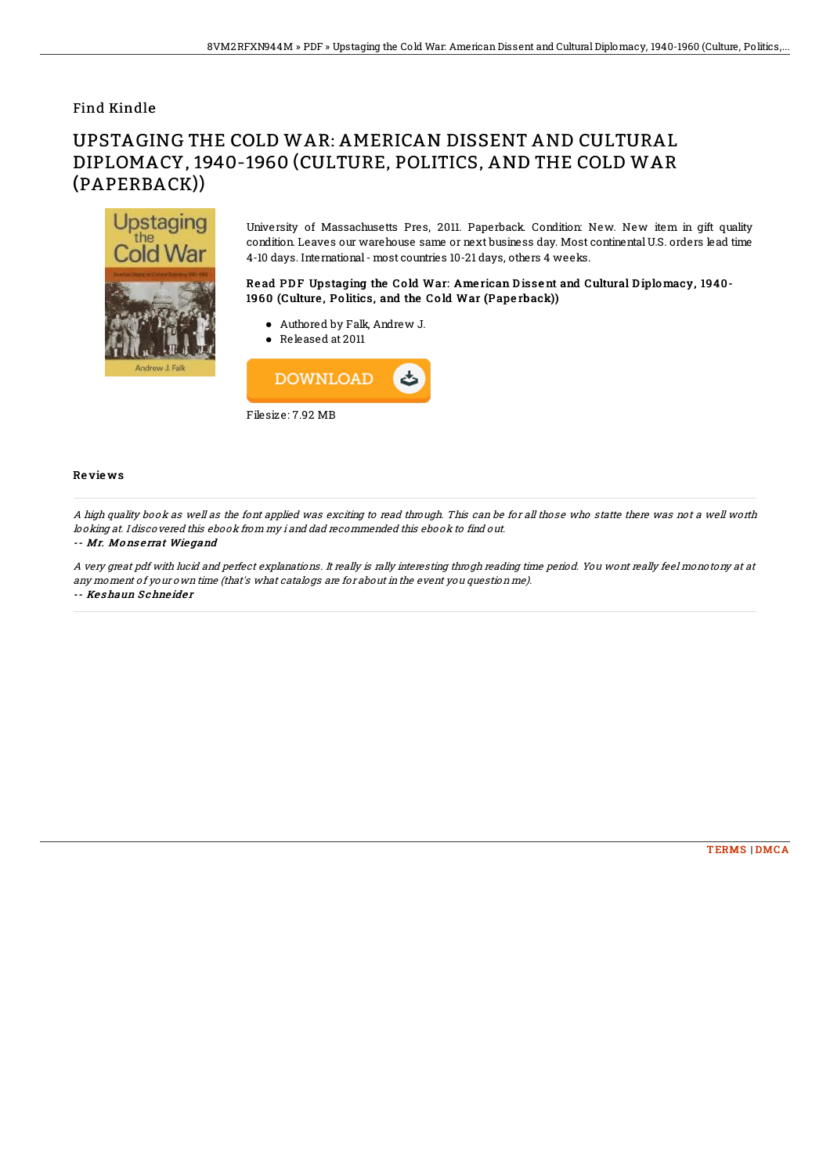## Find Kindle

# UPSTAGING THE COLD WAR: AMERICAN DISSENT AND CULTURAL DIPLOMACY, 1940-1960 (CULTURE, POLITICS, AND THE COLD WAR (PAPERBACK))



University of Massachusetts Pres, 2011. Paperback. Condition: New. New item in gift quality condition. Leaves our warehouse same or next business day. Most continental U.S. orders lead time 4-10 days. International- most countries 10-21 days, others 4 weeks.

### Read PDF Upstaging the Cold War: American Dissent and Cultural Diplomacy, 1940-1960 (Culture, Politics, and the Cold War (Paperback))

- Authored by Falk, Andrew J.
- Released at 2011



#### Re vie ws

A high quality book as well as the font applied was exciting to read through. This can be for all those who statte there was not <sup>a</sup> well worth looking at. I discovered this ebook from my i and dad recommended this ebook to find out.

#### -- Mr. Mo ns <sup>e</sup> rrat Wie gand

A very great pdf with lucid and perfect explanations. It really is rally interesting throgh reading time period. You wont really feel monotony at at any moment of your own time (that's what catalogs are for about in the event you question me).

-- Keshaun Schneider